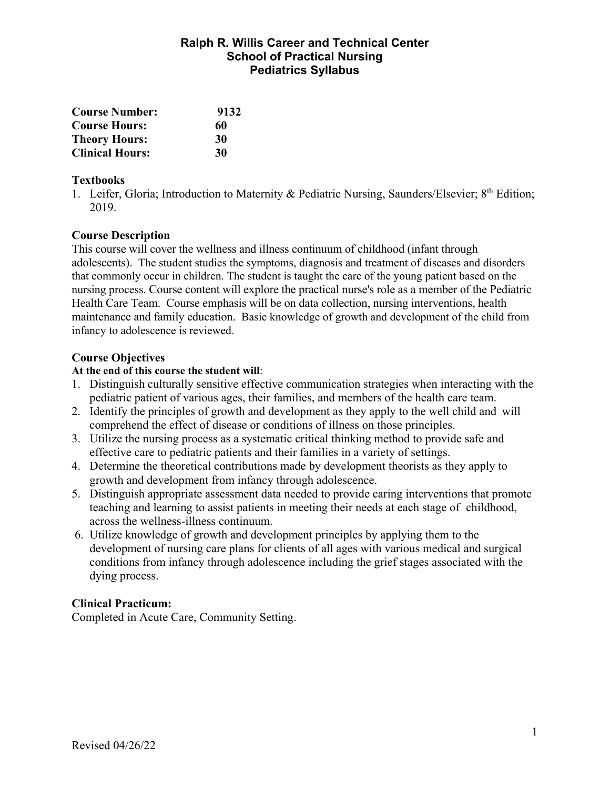## **Ralph R. Willis Career and Technical Center School of Practical Nursing Pediatrics Syllabus**

| <b>Course Number:</b>  | 9132 |  |
|------------------------|------|--|
| <b>Course Hours:</b>   | 60   |  |
| <b>Theory Hours:</b>   | 30   |  |
| <b>Clinical Hours:</b> | 30   |  |

#### **Textbooks**

1. Leifer, Gloria; Introduction to Maternity & Pediatric Nursing, Saunders/Elsevier; 8<sup>th</sup> Edition; 2019.

## **Course Description**

This course will cover the wellness and illness continuum of childhood (infant through adolescents). The student studies the symptoms, diagnosis and treatment of diseases and disorders that commonly occur in children. The student is taught the care of the young patient based on the nursing process. Course content will explore the practical nurse's role as a member of the Pediatric Health Care Team. Course emphasis will be on data collection, nursing interventions, health maintenance and family education. Basic knowledge of growth and development of the child from infancy to adolescence is reviewed.

## **Course Objectives**

#### **At the end of this course the student will**:

- 1. Distinguish culturally sensitive effective communication strategies when interacting with the pediatric patient of various ages, their families, and members of the health care team.
- 2. Identify the principles of growth and development as they apply to the well child and will comprehend the effect of disease or conditions of illness on those principles.
- 3. Utilize the nursing process as a systematic critical thinking method to provide safe and effective care to pediatric patients and their families in a variety of settings.
- 4. Determine the theoretical contributions made by development theorists as they apply to growth and development from infancy through adolescence.
- 5. Distinguish appropriate assessment data needed to provide caring interventions that promote teaching and learning to assist patients in meeting their needs at each stage of childhood, across the wellness-illness continuum.
- 6. Utilize knowledge of growth and development principles by applying them to the development of nursing care plans for clients of all ages with various medical and surgical conditions from infancy through adolescence including the grief stages associated with the dying process.

## **Clinical Practicum:**

Completed in Acute Care, Community Setting.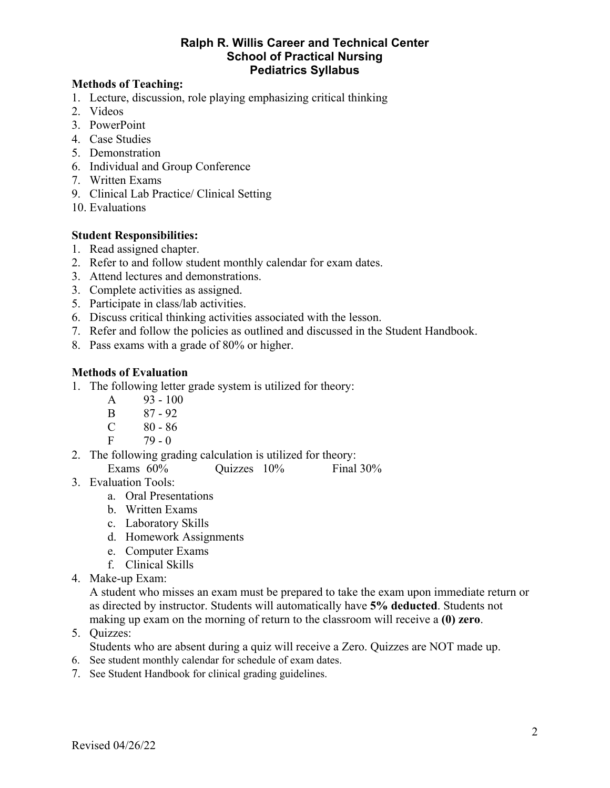#### **Ralph R. Willis Career and Technical Center School of Practical Nursing Pediatrics Syllabus**

#### **Methods of Teaching:**

- 1. Lecture, discussion, role playing emphasizing critical thinking
- 2. Videos
- 3. PowerPoint
- 4. Case Studies
- 5. Demonstration
- 6. Individual and Group Conference
- 7. Written Exams
- 9. Clinical Lab Practice/ Clinical Setting
- 10. Evaluations

#### **Student Responsibilities:**

- 1. Read assigned chapter.
- 2. Refer to and follow student monthly calendar for exam dates.
- 3. Attend lectures and demonstrations.
- 3. Complete activities as assigned.
- 5. Participate in class/lab activities.
- 6. Discuss critical thinking activities associated with the lesson.
- 7. Refer and follow the policies as outlined and discussed in the Student Handbook.
- 8. Pass exams with a grade of 80% or higher.

## **Methods of Evaluation**

- 1. The following letter grade system is utilized for theory:
	- A  $93 100$
	- B 87 92
	- $C \t 80 86$
	- $F = 79 0$
- 2. The following grading calculation is utilized for theory:
	- Exams 60% Quizzes 10% Final 30%
- 3. Evaluation Tools:
	- a. Oral Presentations
	- b. Written Exams
	- c. Laboratory Skills
	- d. Homework Assignments
	- e. Computer Exams
	- f. Clinical Skills
- 4. Make-up Exam:

A student who misses an exam must be prepared to take the exam upon immediate return or as directed by instructor. Students will automatically have **5% deducted**. Students not making up exam on the morning of return to the classroom will receive a **(0) zero**.

5. Quizzes:

Students who are absent during a quiz will receive a Zero. Quizzes are NOT made up.

- 6. See student monthly calendar for schedule of exam dates.
- 7. See Student Handbook for clinical grading guidelines.